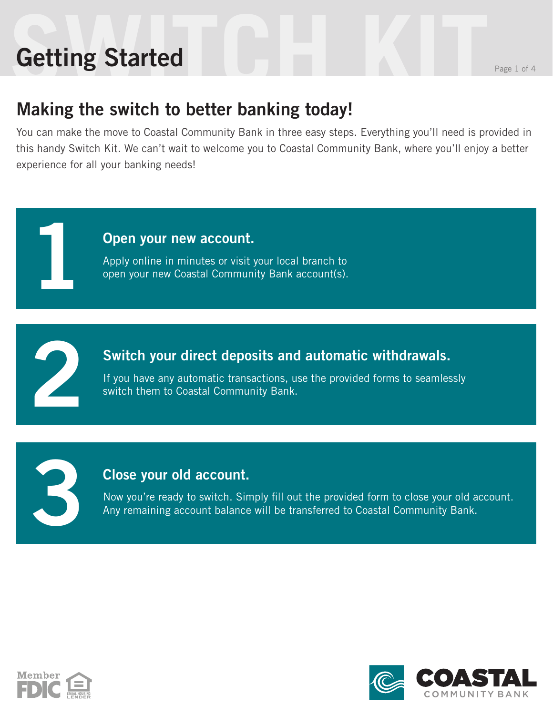# **Getting Started** Reserves the Reserves of 4 Getting Started

1

2

3

### Making the switch to better banking today!

You can make the move to Coastal Community Bank in three easy steps. Everything you'll need is provided in this handy Switch Kit. We can't wait to welcome you to Coastal Community Bank, where you'll enjoy a better experience for all your banking needs!



#### Switch your direct deposits and automatic withdrawals.

If you have any automatic transactions, use the provided forms to seamlessly switch them to Coastal Community Bank.

#### Close your old account.

Now you're ready to switch. Simply fill out the provided form to close your old account. Any remaining account balance will be transferred to Coastal Community Bank.



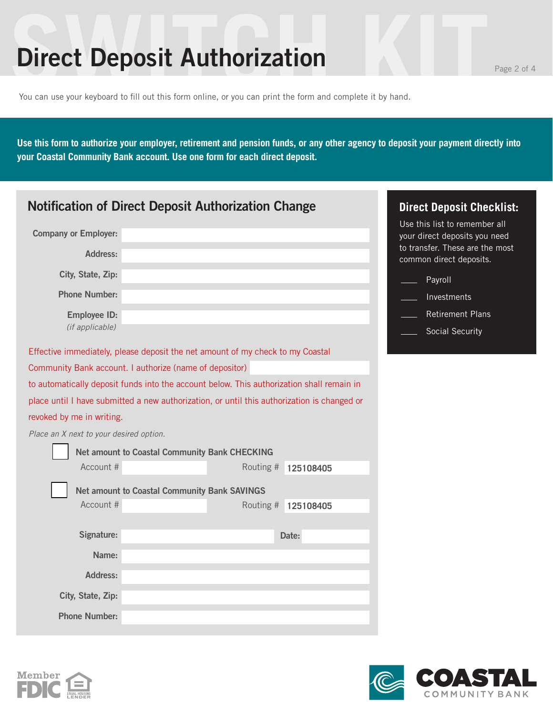### **Direct Deposit Authorization Page 2 of 4**

You can use your keyboard to fill out this form online, or you can print the form and complete it by hand.

**Use this form to authorize your employer, retirement and pension funds, or any other agency to deposit your payment directly into your Coastal Community Bank account. Use one form for each direct deposit.** 

| <b>Notification of Direct Deposit Authorization Change</b> |                                                                                             |           | <b>Direct Deposit Checklist:</b>                                                                  |
|------------------------------------------------------------|---------------------------------------------------------------------------------------------|-----------|---------------------------------------------------------------------------------------------------|
| <b>Company or Employer:</b>                                |                                                                                             |           | Use this list to remember all<br>your direct deposits you need<br>to transfer. These are the most |
| Address:                                                   |                                                                                             |           | common direct deposits.                                                                           |
| City, State, Zip:                                          |                                                                                             |           | Payroll                                                                                           |
| <b>Phone Number:</b>                                       |                                                                                             |           | Investments                                                                                       |
| <b>Employee ID:</b>                                        |                                                                                             |           | <b>Retirement Plans</b>                                                                           |
| (if applicable)                                            |                                                                                             |           | Social Security                                                                                   |
|                                                            | Effective immediately, please deposit the net amount of my check to my Coastal              |           |                                                                                                   |
|                                                            | Community Bank account. I authorize (name of depositor)                                     |           |                                                                                                   |
|                                                            | to automatically deposit funds into the account below. This authorization shall remain in   |           |                                                                                                   |
|                                                            | place until I have submitted a new authorization, or until this authorization is changed or |           |                                                                                                   |
| revoked by me in writing.                                  |                                                                                             |           |                                                                                                   |
| Place an X next to your desired option.                    |                                                                                             |           |                                                                                                   |
|                                                            | Net amount to Coastal Community Bank CHECKING                                               |           |                                                                                                   |
| Account #                                                  | Routing #                                                                                   | 125108405 |                                                                                                   |
|                                                            | <b>Net amount to Coastal Community Bank SAVINGS</b>                                         |           |                                                                                                   |
| Account #                                                  | Routing #                                                                                   | 125108405 |                                                                                                   |
|                                                            |                                                                                             |           |                                                                                                   |
| Signature:                                                 |                                                                                             | Date:     |                                                                                                   |
| Name:                                                      |                                                                                             |           |                                                                                                   |
| <b>Address:</b>                                            |                                                                                             |           |                                                                                                   |
| City, State, Zip:                                          |                                                                                             |           |                                                                                                   |
| <b>Phone Number:</b>                                       |                                                                                             |           |                                                                                                   |



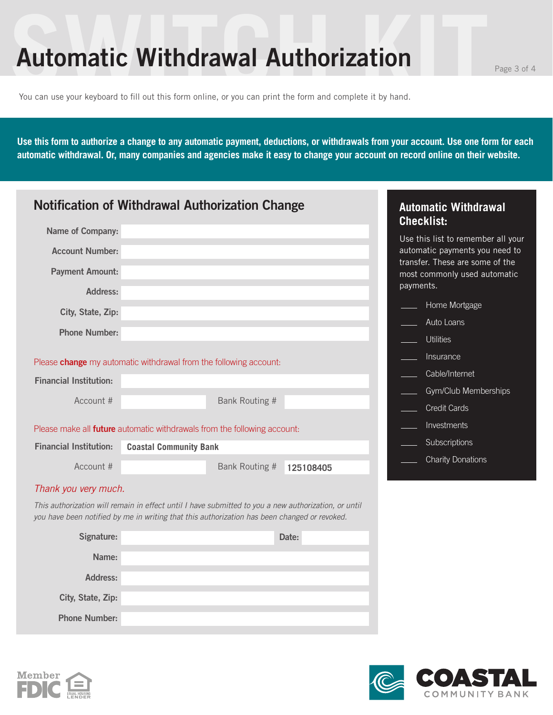### Automatic Withdrawal Authorization Page 3 of 4

You can use your keyboard to fill out this form online, or you can print the form and complete it by hand.

**Use this form to authorize a change to any automatic payment, deductions, or withdrawals from your account. Use one form for each automatic withdrawal. Or, many companies and agencies make it easy to change your account on record online on their website.** 

| <b>Notification of Withdrawal Authorization Change</b> |                                                                                                                                                                                                      |           | <b>Automatic Withdrawal</b>                                          |
|--------------------------------------------------------|------------------------------------------------------------------------------------------------------------------------------------------------------------------------------------------------------|-----------|----------------------------------------------------------------------|
| Name of Company:                                       |                                                                                                                                                                                                      |           | <b>Checklist:</b>                                                    |
| <b>Account Number:</b>                                 |                                                                                                                                                                                                      |           | Use this list to remember all your<br>automatic payments you need to |
|                                                        |                                                                                                                                                                                                      |           | transfer. These are some of the                                      |
| <b>Payment Amount:</b>                                 |                                                                                                                                                                                                      |           | most commonly used automatic                                         |
| Address:                                               |                                                                                                                                                                                                      |           | payments.                                                            |
| City, State, Zip:                                      |                                                                                                                                                                                                      |           | Home Mortgage                                                        |
| <b>Phone Number:</b>                                   |                                                                                                                                                                                                      |           | Auto Loans                                                           |
|                                                        |                                                                                                                                                                                                      |           | <b>Utilities</b>                                                     |
|                                                        | Please <b>change</b> my automatic withdrawal from the following account:                                                                                                                             |           | Insurance                                                            |
| <b>Financial Institution:</b>                          |                                                                                                                                                                                                      |           | Cable/Internet                                                       |
| Account #                                              | Bank Routing #                                                                                                                                                                                       |           | Gym/Club Memberships                                                 |
|                                                        |                                                                                                                                                                                                      |           | <b>Credit Cards</b>                                                  |
|                                                        | Please make all <b>future</b> automatic withdrawals from the following account:                                                                                                                      |           | Investments                                                          |
| <b>Financial Institution:</b>                          | <b>Coastal Community Bank</b>                                                                                                                                                                        |           | Subscriptions                                                        |
| Account #                                              | Bank Routing #                                                                                                                                                                                       | 125108405 | <b>Charity Donations</b>                                             |
| Thank you very much.                                   |                                                                                                                                                                                                      |           |                                                                      |
|                                                        | This authorization will remain in effect until I have submitted to you a new authorization, or until<br>you have been notified by me in writing that this authorization has been changed or revoked. |           |                                                                      |
| Signature:                                             |                                                                                                                                                                                                      | Date:     |                                                                      |
| Name:                                                  |                                                                                                                                                                                                      |           |                                                                      |
| <b>Address:</b>                                        |                                                                                                                                                                                                      |           |                                                                      |
| City, State, Zip:                                      |                                                                                                                                                                                                      |           |                                                                      |

Phone Number: